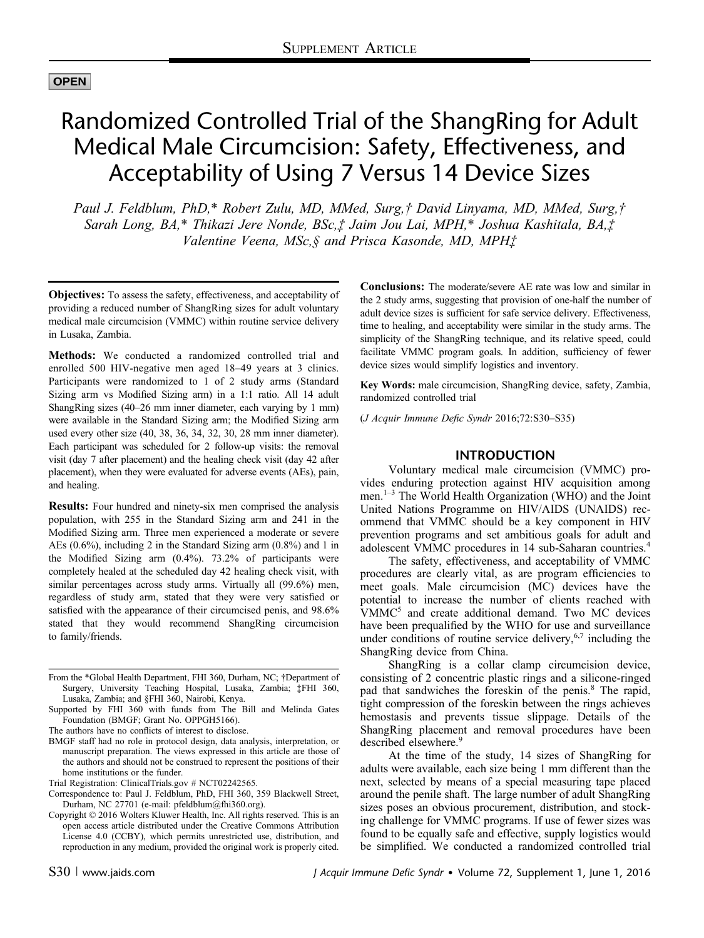# **OPEN**

# Randomized Controlled Trial of the ShangRing for Adult Medical Male Circumcision: Safety, Effectiveness, and Acceptability of Using 7 Versus 14 Device Sizes

Paul J. Feldblum, PhD,\* Robert Zulu, MD, MMed, Surg,† David Linyama, MD, MMed, Surg,† Sarah Long, BA,\* Thikazi Jere Nonde, BSc,‡ Jaim Jou Lai, MPH,\* Joshua Kashitala, BA,‡ Valentine Veena, MSc,§ and Prisca Kasonde, MD, MPH‡

Objectives: To assess the safety, effectiveness, and acceptability of providing a reduced number of ShangRing sizes for adult voluntary medical male circumcision (VMMC) within routine service delivery in Lusaka, Zambia.

Methods: We conducted a randomized controlled trial and enrolled 500 HIV-negative men aged 18–49 years at 3 clinics. Participants were randomized to 1 of 2 study arms (Standard Sizing arm vs Modified Sizing arm) in a 1:1 ratio. All 14 adult ShangRing sizes (40–26 mm inner diameter, each varying by 1 mm) were available in the Standard Sizing arm; the Modified Sizing arm used every other size (40, 38, 36, 34, 32, 30, 28 mm inner diameter). Each participant was scheduled for 2 follow-up visits: the removal visit (day 7 after placement) and the healing check visit (day 42 after placement), when they were evaluated for adverse events (AEs), pain, and healing.

Results: Four hundred and ninety-six men comprised the analysis population, with 255 in the Standard Sizing arm and 241 in the Modified Sizing arm. Three men experienced a moderate or severe AEs (0.6%), including 2 in the Standard Sizing arm (0.8%) and 1 in the Modified Sizing arm (0.4%). 73.2% of participants were completely healed at the scheduled day 42 healing check visit, with similar percentages across study arms. Virtually all (99.6%) men, regardless of study arm, stated that they were very satisfied or satisfied with the appearance of their circumcised penis, and 98.6% stated that they would recommend ShangRing circumcision to family/friends.

- From the \*Global Health Department, FHI 360, Durham, NC; †Department of Surgery, University Teaching Hospital, Lusaka, Zambia; ‡FHI 360, Lusaka, Zambia; and §FHI 360, Nairobi, Kenya.
- Supported by FHI 360 with funds from The Bill and Melinda Gates Foundation (BMGF; Grant No. OPPGH5166).

The authors have no conflicts of interest to disclose.

BMGF staff had no role in protocol design, data analysis, interpretation, or manuscript preparation. The views expressed in this article are those of the authors and should not be construed to represent the positions of their home institutions or the funder.

- Correspondence to: Paul J. Feldblum, PhD, FHI 360, 359 Blackwell Street, Durham, NC 27701 (e-mail: [pfeldblum@fhi360.org\)](mailto:pfeldblum@fhi360.org).
- Copyright © 2016 Wolters Kluwer Health, Inc. All rights reserved. This is an open access article distributed under the [Creative Commons Attribution](http://creativecommons.org/licenses/by/4.0/) [License 4.0 \(CCBY\)](http://creativecommons.org/licenses/by/4.0/), which permits unrestricted use, distribution, and reproduction in any medium, provided the original work is properly cited.

Conclusions: The moderate/severe AE rate was low and similar in the 2 study arms, suggesting that provision of one-half the number of adult device sizes is sufficient for safe service delivery. Effectiveness, time to healing, and acceptability were similar in the study arms. The simplicity of the ShangRing technique, and its relative speed, could facilitate VMMC program goals. In addition, sufficiency of fewer device sizes would simplify logistics and inventory.

Key Words: male circumcision, ShangRing device, safety, Zambia, randomized controlled trial

(J Acquir Immune Defic Syndr 2016;72:S30–S35)

#### INTRODUCTION

Voluntary medical male circumcision (VMMC) provides enduring protection against HIV acquisition among men.<sup>1</sup>–<sup>3</sup> The World Health Organization (WHO) and the Joint United Nations Programme on HIV/AIDS (UNAIDS) recommend that VMMC should be a key component in HIV prevention programs and set ambitious goals for adult and adolescent VMMC procedures in 14 sub-Saharan countries.<sup>4</sup>

The safety, effectiveness, and acceptability of VMMC procedures are clearly vital, as are program efficiencies to meet goals. Male circumcision (MC) devices have the potential to increase the number of clients reached with VMMC<sup>5</sup> and create additional demand. Two MC devices have been prequalified by the WHO for use and surveillance under conditions of routine service delivery,  $6,7$  including the ShangRing device from China.

ShangRing is a collar clamp circumcision device, consisting of 2 concentric plastic rings and a silicone-ringed pad that sandwiches the foreskin of the penis.<sup>8</sup> The rapid, tight compression of the foreskin between the rings achieves hemostasis and prevents tissue slippage. Details of the ShangRing placement and removal procedures have been described elsewhere.<sup>9</sup>

At the time of the study, 14 sizes of ShangRing for adults were available, each size being 1 mm different than the next, selected by means of a special measuring tape placed around the penile shaft. The large number of adult ShangRing sizes poses an obvious procurement, distribution, and stocking challenge for VMMC programs. If use of fewer sizes was found to be equally safe and effective, supply logistics would be simplified. We conducted a randomized controlled trial

Trial Registration: [ClinicalTrials.gov](http://ClinicalTrials.gov) # NCT02242565.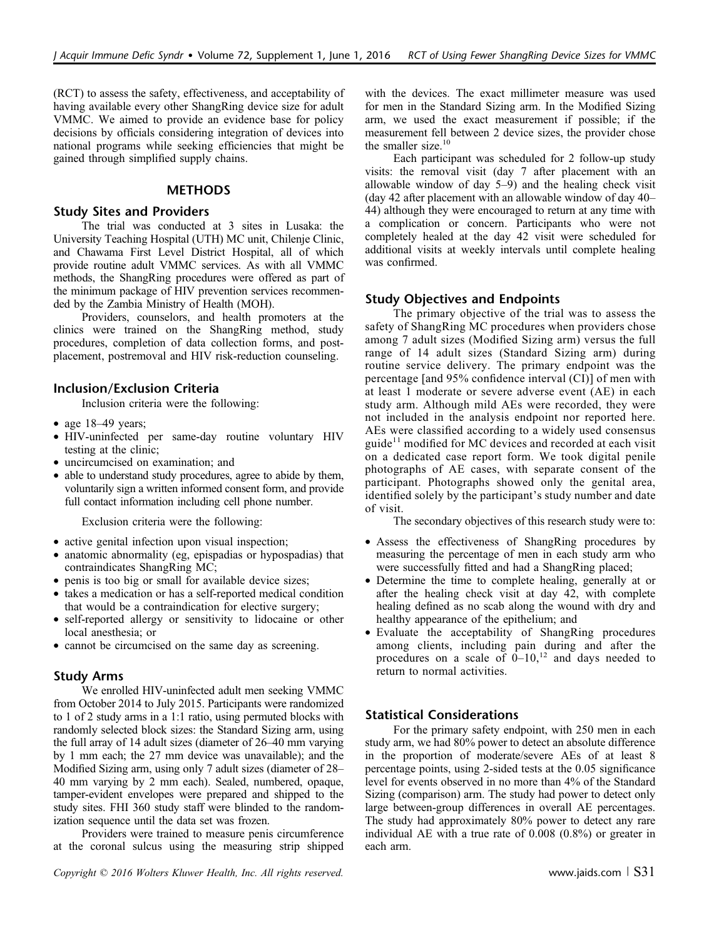(RCT) to assess the safety, effectiveness, and acceptability of having available every other ShangRing device size for adult VMMC. We aimed to provide an evidence base for policy decisions by officials considering integration of devices into national programs while seeking efficiencies that might be gained through simplified supply chains.

#### **METHODS**

#### Study Sites and Providers

The trial was conducted at 3 sites in Lusaka: the University Teaching Hospital (UTH) MC unit, Chilenje Clinic, and Chawama First Level District Hospital, all of which provide routine adult VMMC services. As with all VMMC methods, the ShangRing procedures were offered as part of the minimum package of HIV prevention services recommended by the Zambia Ministry of Health (MOH).

Providers, counselors, and health promoters at the clinics were trained on the ShangRing method, study procedures, completion of data collection forms, and postplacement, postremoval and HIV risk-reduction counseling.

# Inclusion/Exclusion Criteria

Inclusion criteria were the following:

- age 18–49 years;
- HIV-uninfected per same-day routine voluntary HIV testing at the clinic;
- uncircumcised on examination; and
- able to understand study procedures, agree to abide by them, voluntarily sign a written informed consent form, and provide full contact information including cell phone number.

Exclusion criteria were the following:

- active genital infection upon visual inspection;
- anatomic abnormality (eg, epispadias or hypospadias) that contraindicates ShangRing MC;
- penis is too big or small for available device sizes;
- takes a medication or has a self-reported medical condition that would be a contraindication for elective surgery;
- self-reported allergy or sensitivity to lidocaine or other local anesthesia; or
- cannot be circumcised on the same day as screening.

## Study Arms

We enrolled HIV-uninfected adult men seeking VMMC from October 2014 to July 2015. Participants were randomized to 1 of 2 study arms in a 1:1 ratio, using permuted blocks with randomly selected block sizes: the Standard Sizing arm, using the full array of 14 adult sizes (diameter of 26–40 mm varying by 1 mm each; the 27 mm device was unavailable); and the Modified Sizing arm, using only 7 adult sizes (diameter of 28– 40 mm varying by 2 mm each). Sealed, numbered, opaque, tamper-evident envelopes were prepared and shipped to the study sites. FHI 360 study staff were blinded to the randomization sequence until the data set was frozen.

Providers were trained to measure penis circumference at the coronal sulcus using the measuring strip shipped

with the devices. The exact millimeter measure was used for men in the Standard Sizing arm. In the Modified Sizing arm, we used the exact measurement if possible; if the measurement fell between 2 device sizes, the provider chose the smaller size.<sup>10</sup>

Each participant was scheduled for 2 follow-up study visits: the removal visit (day 7 after placement with an allowable window of day 5–9) and the healing check visit (day 42 after placement with an allowable window of day 40– 44) although they were encouraged to return at any time with a complication or concern. Participants who were not completely healed at the day 42 visit were scheduled for additional visits at weekly intervals until complete healing was confirmed.

# Study Objectives and Endpoints

The primary objective of the trial was to assess the safety of ShangRing MC procedures when providers chose among 7 adult sizes (Modified Sizing arm) versus the full range of 14 adult sizes (Standard Sizing arm) during routine service delivery. The primary endpoint was the percentage [and 95% confidence interval (CI)] of men with at least 1 moderate or severe adverse event (AE) in each study arm. Although mild AEs were recorded, they were not included in the analysis endpoint nor reported here. AEs were classified according to a widely used consensus guide<sup>11</sup> modified for MC devices and recorded at each visit on a dedicated case report form. We took digital penile photographs of AE cases, with separate consent of the participant. Photographs showed only the genital area, identified solely by the participant's study number and date of visit.

The secondary objectives of this research study were to:

- Assess the effectiveness of ShangRing procedures by measuring the percentage of men in each study arm who were successfully fitted and had a ShangRing placed;
- Determine the time to complete healing, generally at or after the healing check visit at day 42, with complete healing defined as no scab along the wound with dry and healthy appearance of the epithelium; and
- Evaluate the acceptability of ShangRing procedures among clients, including pain during and after the procedures on a scale of  $0-10$ ,<sup>12</sup> and days needed to return to normal activities.

## Statistical Considerations

For the primary safety endpoint, with 250 men in each study arm, we had 80% power to detect an absolute difference in the proportion of moderate/severe AEs of at least 8 percentage points, using 2-sided tests at the 0.05 significance level for events observed in no more than 4% of the Standard Sizing (comparison) arm. The study had power to detect only large between-group differences in overall AE percentages. The study had approximately 80% power to detect any rare individual AE with a true rate of 0.008 (0.8%) or greater in each arm.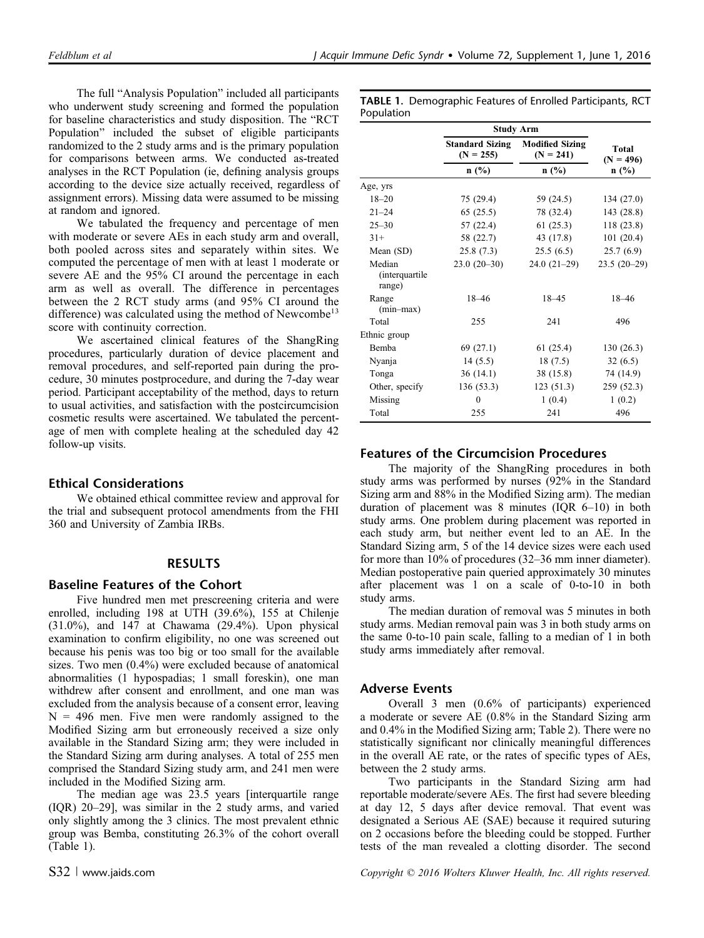The full "Analysis Population" included all participants who underwent study screening and formed the population for baseline characteristics and study disposition. The "RCT Population" included the subset of eligible participants randomized to the 2 study arms and is the primary population for comparisons between arms. We conducted as-treated analyses in the RCT Population (ie, defining analysis groups according to the device size actually received, regardless of assignment errors). Missing data were assumed to be missing at random and ignored.

We tabulated the frequency and percentage of men with moderate or severe AEs in each study arm and overall, both pooled across sites and separately within sites. We computed the percentage of men with at least 1 moderate or severe AE and the 95% CI around the percentage in each arm as well as overall. The difference in percentages between the 2 RCT study arms (and 95% CI around the difference) was calculated using the method of Newcombe<sup>13</sup> score with continuity correction.

We ascertained clinical features of the ShangRing procedures, particularly duration of device placement and removal procedures, and self-reported pain during the procedure, 30 minutes postprocedure, and during the 7-day wear period. Participant acceptability of the method, days to return to usual activities, and satisfaction with the postcircumcision cosmetic results were ascertained. We tabulated the percentage of men with complete healing at the scheduled day 42 follow-up visits.

#### Ethical Considerations

We obtained ethical committee review and approval for the trial and subsequent protocol amendments from the FHI 360 and University of Zambia IRBs.

#### RESULTS

#### Baseline Features of the Cohort

Five hundred men met prescreening criteria and were enrolled, including 198 at UTH (39.6%), 155 at Chilenje (31.0%), and 147 at Chawama (29.4%). Upon physical examination to confirm eligibility, no one was screened out because his penis was too big or too small for the available sizes. Two men (0.4%) were excluded because of anatomical abnormalities (1 hypospadias; 1 small foreskin), one man withdrew after consent and enrollment, and one man was excluded from the analysis because of a consent error, leaving  $N = 496$  men. Five men were randomly assigned to the Modified Sizing arm but erroneously received a size only available in the Standard Sizing arm; they were included in the Standard Sizing arm during analyses. A total of 255 men comprised the Standard Sizing study arm, and 241 men were included in the Modified Sizing arm.

The median age was 23.5 years [interquartile range (IQR) 20–29], was similar in the 2 study arms, and varied only slightly among the 3 clinics. The most prevalent ethnic group was Bemba, constituting 26.3% of the cohort overall (Table 1).

TABLE 1. Demographic Features of Enrolled Participants, RCT Population

|                                            | Study Arm                             |                                       |                              |  |  |
|--------------------------------------------|---------------------------------------|---------------------------------------|------------------------------|--|--|
|                                            | <b>Standard Sizing</b><br>$(N = 255)$ | <b>Modified Sizing</b><br>$(N = 241)$ | Total<br>$(N = 496)$<br>n(%) |  |  |
|                                            | n(%)                                  | n(%)                                  |                              |  |  |
| Age, yrs                                   |                                       |                                       |                              |  |  |
| $18 - 20$                                  | 75 (29.4)                             | 59 (24.5)                             | 134 (27.0)                   |  |  |
| $21 - 24$                                  | 65(25.5)                              | 78 (32.4)                             | 143 (28.8)                   |  |  |
| $25 - 30$                                  | 57 (22.4)                             | 61(25.3)                              | 118 (23.8)                   |  |  |
| $31+$                                      | 58 (22.7)                             | 43 (17.8)                             | 101(20.4)                    |  |  |
| Mean (SD)                                  | 25.8(7.3)                             | 25.5(6.5)                             | 25.7(6.9)                    |  |  |
| Median<br><i>(interquartile)</i><br>range) | $23.0(20-30)$                         | $24.0(21-29)$                         | $23.5(20-29)$                |  |  |
| Range<br>$(min-max)$                       | $18 - 46$                             | $18 - 45$                             | $18 - 46$                    |  |  |
| Total                                      | 255                                   | 241                                   | 496                          |  |  |
| Ethnic group                               |                                       |                                       |                              |  |  |
| <b>Bemba</b>                               | 69 (27.1)                             | 61(25.4)                              | 130 (26.3)                   |  |  |
| Nyanja                                     | 14(5.5)                               | 18(7.5)                               | 32(6.5)                      |  |  |
| Tonga                                      | 36(14.1)                              | 38(15.8)                              | 74 (14.9)                    |  |  |
| Other, specify                             | 136(53.3)                             | 123 (51.3)                            | 259 (52.3)                   |  |  |
| Missing                                    | 0                                     | 1(0.4)                                | 1(0.2)                       |  |  |
| Total                                      | 255                                   | 241                                   | 496                          |  |  |

## Features of the Circumcision Procedures

The majority of the ShangRing procedures in both study arms was performed by nurses (92% in the Standard Sizing arm and 88% in the Modified Sizing arm). The median duration of placement was 8 minutes (IQR 6–10) in both study arms. One problem during placement was reported in each study arm, but neither event led to an AE. In the Standard Sizing arm, 5 of the 14 device sizes were each used for more than 10% of procedures (32–36 mm inner diameter). Median postoperative pain queried approximately 30 minutes after placement was 1 on a scale of 0-to-10 in both study arms.

The median duration of removal was 5 minutes in both study arms. Median removal pain was 3 in both study arms on the same 0-to-10 pain scale, falling to a median of 1 in both study arms immediately after removal.

#### Adverse Events

Overall 3 men (0.6% of participants) experienced a moderate or severe AE (0.8% in the Standard Sizing arm and 0.4% in the Modified Sizing arm; Table 2). There were no statistically significant nor clinically meaningful differences in the overall AE rate, or the rates of specific types of AEs, between the 2 study arms.

Two participants in the Standard Sizing arm had reportable moderate/severe AEs. The first had severe bleeding at day 12, 5 days after device removal. That event was designated a Serious AE (SAE) because it required suturing on 2 occasions before the bleeding could be stopped. Further tests of the man revealed a clotting disorder. The second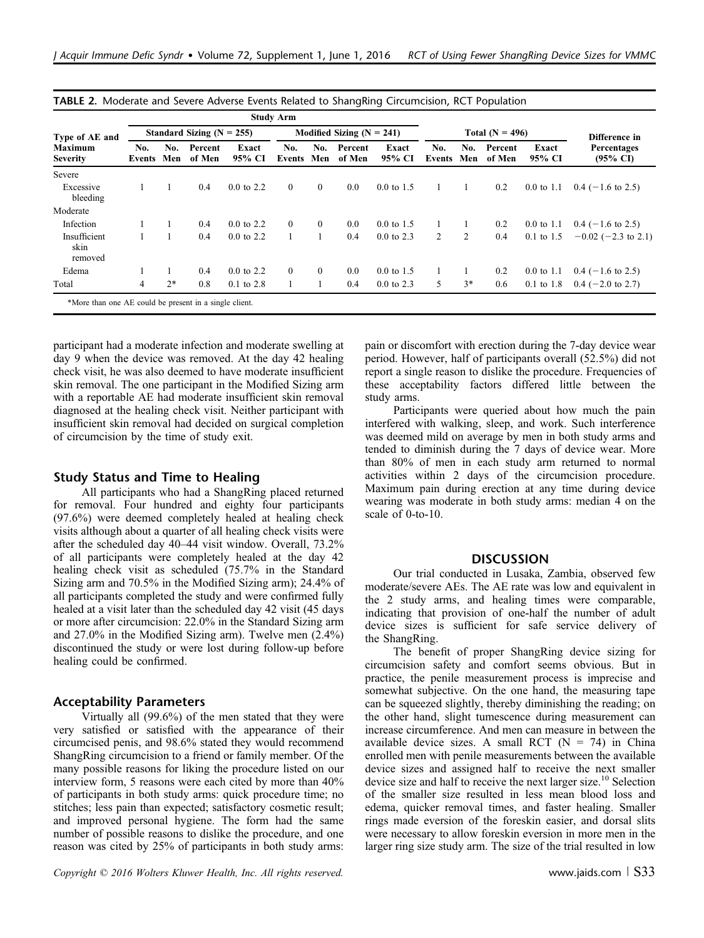| Type of AE and<br><b>Maximum</b><br><b>Severity</b> | <b>Study Arm</b>              |            |                   |                       |                             |              |                   |                       |               |                |                   |                       |                                    |
|-----------------------------------------------------|-------------------------------|------------|-------------------|-----------------------|-----------------------------|--------------|-------------------|-----------------------|---------------|----------------|-------------------|-----------------------|------------------------------------|
|                                                     | Standard Sizing ( $N = 255$ ) |            |                   |                       | Modified Sizing $(N = 241)$ |              |                   | Total $(N = 496)$     |               |                |                   | Difference in         |                                    |
|                                                     | No.<br>Events                 | No.<br>Men | Percent<br>of Men | Exact<br>95% CI       | No.<br>Events Men           | No.          | Percent<br>of Men | Exact<br>95% CI       | No.<br>Events | No.<br>Men     | Percent<br>of Men | Exact<br>95% CI       | Percentages<br>$(95\% \text{ CI})$ |
| Severe                                              |                               |            |                   |                       |                             |              |                   |                       |               |                |                   |                       |                                    |
| Excessive<br>bleeding                               |                               |            | 0.4               | $0.0 \text{ to } 2.2$ | $\mathbf{0}$                | $\mathbf{0}$ | 0.0               | $0.0 \text{ to } 1.5$ |               |                | 0.2               | $0.0 \text{ to } 1.1$ | $0.4$ (-1.6 to 2.5)                |
| Moderate                                            |                               |            |                   |                       |                             |              |                   |                       |               |                |                   |                       |                                    |
| Infection                                           |                               |            | 0.4               | $0.0 \text{ to } 2.2$ | $\theta$                    | $\mathbf{0}$ | 0.0               | $0.0 \text{ to } 1.5$ |               |                | 0.2               | $0.0 \text{ to } 1.1$ | $0.4$ (-1.6 to 2.5)                |
| Insufficient<br>skin<br>removed                     |                               |            | 0.4               | $0.0 \text{ to } 2.2$ |                             |              | 0.4               | $0.0 \text{ to } 2.3$ | 2             | $\overline{c}$ | 0.4               | $0.1 \text{ to } 1.5$ | $-0.02$ (-2.3 to 2.1)              |
| Edema                                               |                               |            | 0.4               | $0.0 \text{ to } 2.2$ | $\Omega$                    | $\mathbf{0}$ | 0.0               | $0.0 \text{ to } 1.5$ |               |                | 0.2               | $0.0 \text{ to } 1.1$ | $0.4$ (-1.6 to 2.5)                |
| Total                                               | $\overline{4}$                | $2*$       | 0.8               | $0.1$ to $2.8$        |                             |              | 0.4               | $0.0 \text{ to } 2.3$ | 5             | $3*$           | 0.6               | $0.1 \text{ to } 1.8$ | $0.4$ (-2.0 to 2.7)                |

TABLE 2. Moderate and Severe Adverse Events Related to ShangRing Circumcision, RCT Population

participant had a moderate infection and moderate swelling at day 9 when the device was removed. At the day 42 healing check visit, he was also deemed to have moderate insufficient skin removal. The one participant in the Modified Sizing arm with a reportable AE had moderate insufficient skin removal diagnosed at the healing check visit. Neither participant with insufficient skin removal had decided on surgical completion of circumcision by the time of study exit.

#### Study Status and Time to Healing

All participants who had a ShangRing placed returned for removal. Four hundred and eighty four participants (97.6%) were deemed completely healed at healing check visits although about a quarter of all healing check visits were after the scheduled day 40–44 visit window. Overall, 73.2% of all participants were completely healed at the day 42 healing check visit as scheduled (75.7% in the Standard Sizing arm and 70.5% in the Modified Sizing arm); 24.4% of all participants completed the study and were confirmed fully healed at a visit later than the scheduled day 42 visit (45 days or more after circumcision: 22.0% in the Standard Sizing arm and 27.0% in the Modified Sizing arm). Twelve men (2.4%) discontinued the study or were lost during follow-up before healing could be confirmed.

#### Acceptability Parameters

Virtually all (99.6%) of the men stated that they were very satisfied or satisfied with the appearance of their circumcised penis, and 98.6% stated they would recommend ShangRing circumcision to a friend or family member. Of the many possible reasons for liking the procedure listed on our interview form, 5 reasons were each cited by more than 40% of participants in both study arms: quick procedure time; no stitches; less pain than expected; satisfactory cosmetic result; and improved personal hygiene. The form had the same number of possible reasons to dislike the procedure, and one reason was cited by 25% of participants in both study arms: pain or discomfort with erection during the 7-day device wear period. However, half of participants overall (52.5%) did not report a single reason to dislike the procedure. Frequencies of these acceptability factors differed little between the study arms.

Participants were queried about how much the pain interfered with walking, sleep, and work. Such interference was deemed mild on average by men in both study arms and tended to diminish during the 7 days of device wear. More than 80% of men in each study arm returned to normal activities within 2 days of the circumcision procedure. Maximum pain during erection at any time during device wearing was moderate in both study arms: median 4 on the scale of 0-to-10.

#### **DISCUSSION**

Our trial conducted in Lusaka, Zambia, observed few moderate/severe AEs. The AE rate was low and equivalent in the 2 study arms, and healing times were comparable, indicating that provision of one-half the number of adult device sizes is sufficient for safe service delivery of the ShangRing.

The benefit of proper ShangRing device sizing for circumcision safety and comfort seems obvious. But in practice, the penile measurement process is imprecise and somewhat subjective. On the one hand, the measuring tape can be squeezed slightly, thereby diminishing the reading; on the other hand, slight tumescence during measurement can increase circumference. And men can measure in between the available device sizes. A small RCT  $(N = 74)$  in China enrolled men with penile measurements between the available device sizes and assigned half to receive the next smaller device size and half to receive the next larger size.<sup>10</sup> Selection of the smaller size resulted in less mean blood loss and edema, quicker removal times, and faster healing. Smaller rings made eversion of the foreskin easier, and dorsal slits were necessary to allow foreskin eversion in more men in the larger ring size study arm. The size of the trial resulted in low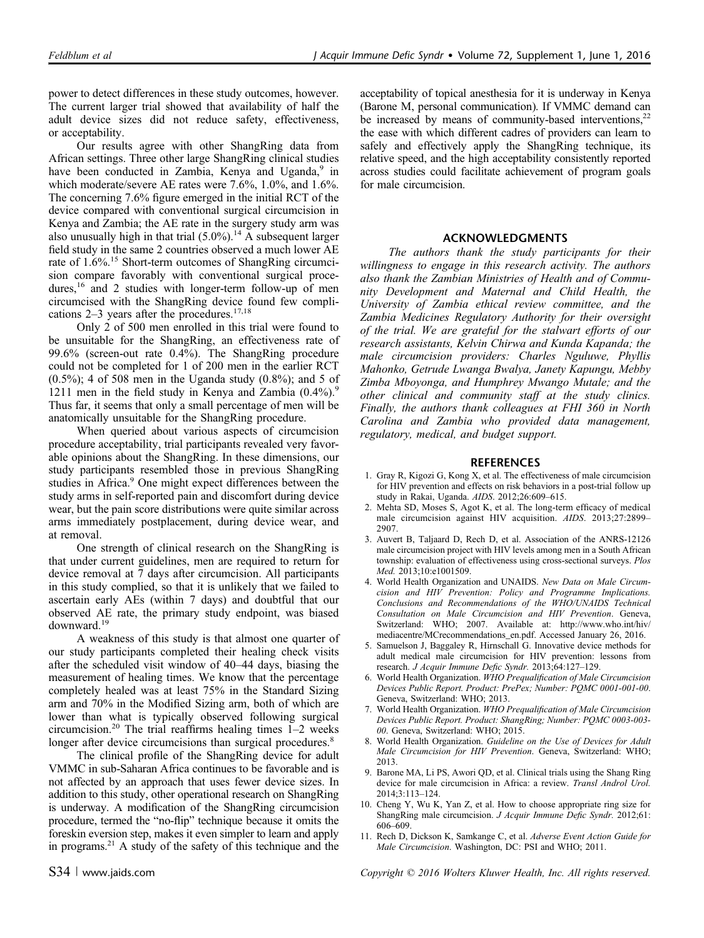power to detect differences in these study outcomes, however. The current larger trial showed that availability of half the adult device sizes did not reduce safety, effectiveness, or acceptability.

Our results agree with other ShangRing data from African settings. Three other large ShangRing clinical studies have been conducted in Zambia, Kenya and Uganda,<sup>9</sup> in which moderate/severe AE rates were 7.6%, 1.0%, and 1.6%. The concerning 7.6% figure emerged in the initial RCT of the device compared with conventional surgical circumcision in Kenya and Zambia; the AE rate in the surgery study arm was also unusually high in that trial  $(5.0\%)$ .<sup>14</sup> A subsequent larger field study in the same 2 countries observed a much lower AE rate of 1.6%.<sup>15</sup> Short-term outcomes of ShangRing circumcision compare favorably with conventional surgical procedures,<sup>16</sup> and 2 studies with longer-term follow-up of men circumcised with the ShangRing device found few complications  $2-3$  years after the procedures.<sup>17,18</sup>

Only 2 of 500 men enrolled in this trial were found to be unsuitable for the ShangRing, an effectiveness rate of 99.6% (screen-out rate 0.4%). The ShangRing procedure could not be completed for 1 of 200 men in the earlier RCT (0.5%); 4 of 508 men in the Uganda study (0.8%); and 5 of 1211 men in the field study in Kenya and Zambia  $(0.4\%)$ . Thus far, it seems that only a small percentage of men will be anatomically unsuitable for the ShangRing procedure.

When queried about various aspects of circumcision procedure acceptability, trial participants revealed very favorable opinions about the ShangRing. In these dimensions, our study participants resembled those in previous ShangRing studies in Africa.<sup>9</sup> One might expect differences between the study arms in self-reported pain and discomfort during device wear, but the pain score distributions were quite similar across arms immediately postplacement, during device wear, and at removal.

One strength of clinical research on the ShangRing is that under current guidelines, men are required to return for device removal at 7 days after circumcision. All participants in this study complied, so that it is unlikely that we failed to ascertain early AEs (within 7 days) and doubtful that our observed AE rate, the primary study endpoint, was biased downward.<sup>19</sup>

A weakness of this study is that almost one quarter of our study participants completed their healing check visits after the scheduled visit window of 40–44 days, biasing the measurement of healing times. We know that the percentage completely healed was at least 75% in the Standard Sizing arm and 70% in the Modified Sizing arm, both of which are lower than what is typically observed following surgical circumcision.<sup>20</sup> The trial reaffirms healing times  $1-2$  weeks longer after device circumcisions than surgical procedures.<sup>8</sup>

The clinical profile of the ShangRing device for adult VMMC in sub-Saharan Africa continues to be favorable and is not affected by an approach that uses fewer device sizes. In addition to this study, other operational research on ShangRing is underway. A modification of the ShangRing circumcision procedure, termed the "no-flip" technique because it omits the foreskin eversion step, makes it even simpler to learn and apply in programs. $^{21}$  A study of the safety of this technique and the acceptability of topical anesthesia for it is underway in Kenya (Barone M, personal communication). If VMMC demand can be increased by means of community-based interventions, $22$ the ease with which different cadres of providers can learn to safely and effectively apply the ShangRing technique, its relative speed, and the high acceptability consistently reported across studies could facilitate achievement of program goals for male circumcision.

#### ACKNOWLEDGMENTS

The authors thank the study participants for their willingness to engage in this research activity. The authors also thank the Zambian Ministries of Health and of Community Development and Maternal and Child Health, the University of Zambia ethical review committee, and the Zambia Medicines Regulatory Authority for their oversight of the trial. We are grateful for the stalwart efforts of our research assistants, Kelvin Chirwa and Kunda Kapanda; the male circumcision providers: Charles Nguluwe, Phyllis Mahonko, Getrude Lwanga Bwalya, Janety Kapungu, Mebby Zimba Mboyonga, and Humphrey Mwango Mutale; and the other clinical and community staff at the study clinics. Finally, the authors thank colleagues at FHI 360 in North Carolina and Zambia who provided data management, regulatory, medical, and budget support.

#### REFERENCES

- 1. Gray R, Kigozi G, Kong X, et al. The effectiveness of male circumcision for HIV prevention and effects on risk behaviors in a post-trial follow up study in Rakai, Uganda. AIDS. 2012;26:609–615.
- 2. Mehta SD, Moses S, Agot K, et al. The long-term efficacy of medical male circumcision against HIV acquisition. AIDS. 2013;27:2899– 2907.
- 3. Auvert B, Taljaard D, Rech D, et al. Association of the ANRS-12126 male circumcision project with HIV levels among men in a South African township: evaluation of effectiveness using cross-sectional surveys. Plos Med. 2013;10:e1001509.
- 4. World Health Organization and UNAIDS. New Data on Male Circumcision and HIV Prevention: Policy and Programme Implications. Conclusions and Recommendations of the WHO/UNAIDS Technical Consultation on Male Circumcision and HIV Prevention. Geneva, Switzerland: WHO; 2007. Available at: [http://www.who.int/hiv/](http://www.who.int/hiv/mediacentre/MCrecommendations_en.pdf) [mediacentre/MCrecommendations\\_en.pdf.](http://www.who.int/hiv/mediacentre/MCrecommendations_en.pdf) Accessed January 26, 2016.
- 5. Samuelson J, Baggaley R, Hirnschall G. Innovative device methods for adult medical male circumcision for HIV prevention: lessons from research. J Acquir Immune Defic Syndr. 2013;64:127–129.
- 6. World Health Organization. WHO Prequalification of Male Circumcision Devices Public Report. Product: PrePex; Number: PQMC 0001-001-00. Geneva, Switzerland: WHO; 2013.
- 7. World Health Organization. WHO Prequalification of Male Circumcision Devices Public Report. Product: ShangRing; Number: PQMC 0003-003- 00. Geneva, Switzerland: WHO; 2015.
- 8. World Health Organization. Guideline on the Use of Devices for Adult Male Circumcision for HIV Prevention. Geneva, Switzerland: WHO; 2013.
- 9. Barone MA, Li PS, Awori QD, et al. Clinical trials using the Shang Ring device for male circumcision in Africa: a review. Transl Androl Urol. 2014;3:113–124.
- 10. Cheng Y, Wu K, Yan Z, et al. How to choose appropriate ring size for ShangRing male circumcision. J Acquir Immune Defic Syndr. 2012;61: 606–609.
- 11. Rech D, Dickson K, Samkange C, et al. Adverse Event Action Guide for Male Circumcision. Washington, DC: PSI and WHO; 2011.

S34 <sup>|</sup> www.jaids.com Copyright © 2016 Wolters Kluwer Health, Inc. All rights reserved.